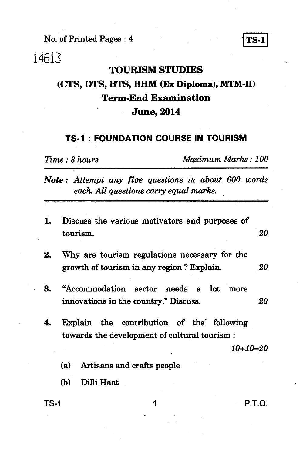**No. of Printed Pages : 4 1 TS-1** 

14613

#### **TOURISM STUDIES**

## **(CTS, DTS, BTS, BHM (Ex Diploma), MTM-II) Term-End Examination June, 2014**

#### **TS-1 : FOUNDATION COURSE IN TOURISM**

*Time : 3 hours Maximum Marks : 100* 

*Note : Attempt any five questions in about 600 words each. All questions carry equal marks.* 

| 1. | Discuss the various motivators and purposes of<br>tourism.                                              | 20 |
|----|---------------------------------------------------------------------------------------------------------|----|
| 2. | Why are tourism regulations necessary for the<br>growth of tourism in any region? Explain.              | 20 |
| 3. | "Accommodation sector needs a lot more<br>innovations in the country." Discuss.                         | 20 |
| 4. | Explain the contribution of the following<br>towards the development of cultural tourism:<br>$10+10=20$ |    |
|    | Artisans and crafts people<br>(a)                                                                       |    |
|    | Dilli Haat<br>(h)                                                                                       |    |

**TS-1 1 P.T.O.**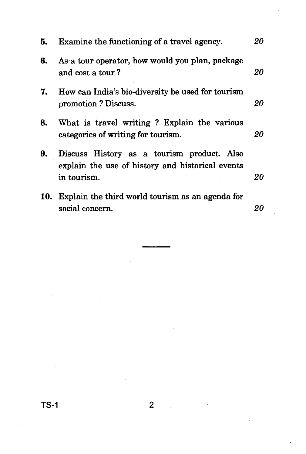| 5. | Examine the functioning of a travel agency.                                                                   | 20 |
|----|---------------------------------------------------------------------------------------------------------------|----|
| 6. | As a tour operator, how would you plan, package<br>and cost a tour?                                           | 20 |
| 7. | How can India's bio-diversity be used for tourism<br>promotion? Discuss.                                      | 20 |
| 8. | What is travel writing? Explain the various<br>categories of writing for tourism.                             | 20 |
| 9. | Discuss History as a tourism product. Also<br>explain the use of history and historical events<br>in tourism. | 20 |
|    | 10. Explain the third world tourism as an agenda for<br>social concern.                                       | 20 |

 $TS-1$  2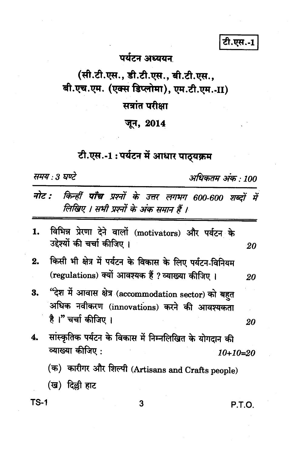टी.एस.-1

### पर्यटन अध्ययन

# (सी.टी.एस., डी.टी.एस., बी.टी.एस., बी.एच.एम. (एक्स डिप्लोमा), एम.टी.एम.-II)

## सत्रांत परीक्षा

### जून, 2014

# टी.एस.-1:पर्यटन में आधार पाठ्यक्रम

समय : 3 घण्टे

अधिकतम अंक : 100

|      | नोट : किन्हीं पाँच प्रश्नों के उत्तर लगभग 600-600 शब्दों में<br>लिखिए । सभी प्रश्नों के अंक समान हैं ।                                            |          |    |
|------|---------------------------------------------------------------------------------------------------------------------------------------------------|----------|----|
| 1.   | विभिन्न प्रेरणा देने वालों (motivators) और पर्यटन के<br>उद्देश्यों की चर्चा कीजिए।                                                                |          | 20 |
| 2.   | किसी भी क्षेत्र में पर्यटन के विकास के लिए पर्यटन-विनियम<br>(regulations) क्यों आवश्यक हैं ? व्याख्या कीजिए ।                                     |          | 20 |
| 3.   | "देश में आवास क्षेत्र (accommodation sector) को बहुत<br>अधिक नवीकरण (innovations) करने की आवश्यकता<br>है।" चर्चा कीजिए।                           |          | 20 |
|      | सांस्कृतिक पर्यटन के विकास में निम्नलिखित के योगदान की<br>व्याख्या कीजिए :<br>(क) कारीगर और शिल्पी (Artisans and Crafts people)<br>(ख) दिल्ली हाट | 10+10=20 |    |
| TS-1 | 3                                                                                                                                                 | P.T.O    |    |